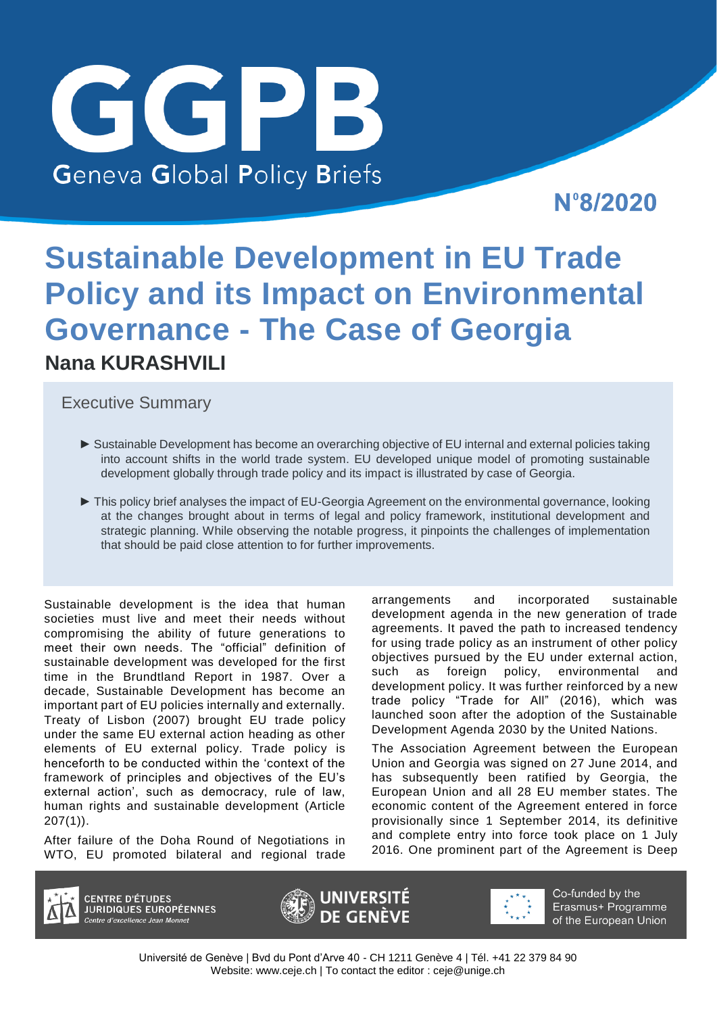# GGPB **Geneva Global Policy Briefs**

N°8/2020

# **Sustainable Development in EU Trade Policy and its Impact on Environmental Governance - The Case of Georgia Nana KURASHVILI**

Executive Summary

- ► Sustainable Development has become an overarching objective of EU internal and external policies taking into account shifts in the world trade system. EU developed unique model of promoting sustainable development globally through trade policy and its impact is illustrated by case of Georgia.
- ► This policy brief analyses the impact of EU-Georgia Agreement on the environmental governance, looking at the changes brought about in terms of legal and policy framework, institutional development and strategic planning. While observing the notable progress, it pinpoints the challenges of implementation that should be paid close attention to for further improvements.

Sustainable development is the idea that human societies must live and meet their needs without compromising the ability of future generations to meet their own needs. The "official" definition of sustainable development was developed for the first time in the Brundtland Report in 1987. Over a decade, Sustainable Development has become an important part of EU policies internally and externally. Treaty of Lisbon (2007) brought EU trade policy under the same EU external action heading as other elements of EU external policy. Trade policy is henceforth to be conducted within the 'context of the framework of principles and objectives of the EU's external action', such as democracy, rule of law, human rights and sustainable development (Article 207(1)).

After failure of the Doha Round of Negotiations in WTO, EU promoted bilateral and regional trade arrangements and incorporated sustainable development agenda in the new generation of trade agreements. It paved the path to increased tendency for using trade policy as an instrument of other policy objectives pursued by the EU under external action, such as foreign policy, environmental and development policy. It was further reinforced by a new trade policy "Trade for All" (2016), which was launched soon after the adoption of the Sustainable Development Agenda 2030 by the United Nations.

The Association Agreement between the European Union and Georgia was signed on 27 June 2014, and has subsequently been ratified by Georgia, the European Union and all 28 EU member states. The economic content of the Agreement entered in force provisionally since 1 September 2014, its definitive and complete entry into force took place on 1 July 2016. One prominent part of the Agreement is Deep



**CENTRE D'ÉTUDES JURIDIQUES EUROPÉENNES** ntre d'excellence Jean Monnet





Co-funded by the Erasmus+ Programme of the European Union

Université de Genève | Bvd du Pont d'Arve 40 - CH 1211 Genève 4 | Tél. +41 22 379 84 90 Website: [www.ceje.ch |](http://www.ceje.ch/) To contact the editor : [ceje@unige.ch](mailto:ceje@unige.ch)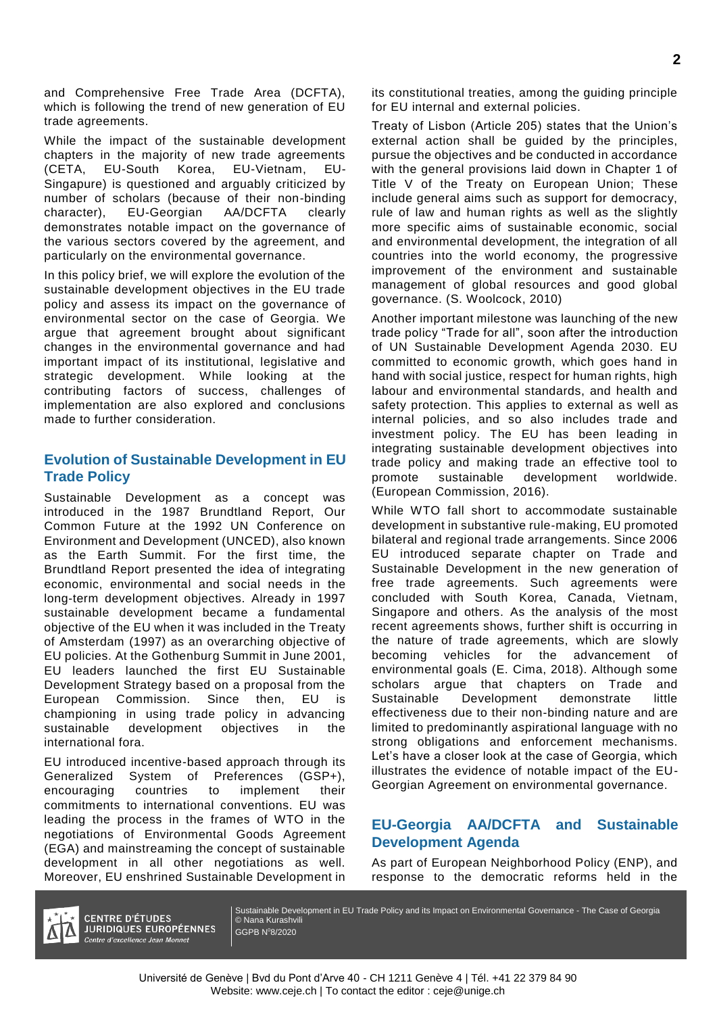and Comprehensive Free Trade Area (DCFTA), which is following the trend of new generation of EU trade agreements.

While the impact of the sustainable development chapters in the majority of new trade agreements (CETA, EU-South Korea, EU-Vietnam, EU-Singapure) is questioned and arguably criticized by number of scholars (because of their non-binding character), EU-Georgian AA/DCFTA clearly demonstrates notable impact on the governance of the various sectors covered by the agreement, and particularly on the environmental governance.

In this policy brief, we will explore the evolution of the sustainable development objectives in the EU trade policy and assess its impact on the governance of environmental sector on the case of Georgia. We argue that agreement brought about significant changes in the environmental governance and had important impact of its institutional, legislative and strategic development. While looking at the contributing factors of success, challenges of implementation are also explored and conclusions made to further consideration.

# **Evolution of Sustainable Development in EU Trade Policy**

Sustainable Development as a concept was introduced in the 1987 Brundtland Report, Our Common Future at the 1992 UN Conference on Environment and Development (UNCED), also known as the Earth Summit. For the first time, the Brundtland Report presented the idea of integrating economic, environmental and social needs in the long-term development objectives. Already in 1997 sustainable development became a fundamental objective of the EU when it was included in the Treaty of Amsterdam (1997) as an overarching objective of EU policies. At the Gothenburg Summit in June 2001, EU leaders launched the first EU Sustainable Development Strategy based on a proposal from the European Commission. Since then, EU is championing in using trade policy in advancing sustainable development objectives in the international fora.

EU introduced incentive-based approach through its Generalized System of Preferences (GSP+), encouraging countries to implement their commitments to international conventions. EU was leading the process in the frames of WTO in the negotiations of Environmental Goods Agreement (EGA) and mainstreaming the concept of sustainable development in all other negotiations as well. Moreover, EU enshrined Sustainable Development in

its constitutional treaties, among the guiding principle for EU internal and external policies.

Treaty of Lisbon (Article 205) states that the Union's external action shall be guided by the principles, pursue the objectives and be conducted in accordance with the general provisions laid down in Chapter 1 of Title V of the Treaty on European Union; These include general aims such as support for democracy, rule of law and human rights as well as the slightly more specific aims of sustainable economic, social and environmental development, the integration of all countries into the world economy, the progressive improvement of the environment and sustainable management of global resources and good global governance. (S. Woolcock, 2010)

Another important milestone was launching of the new trade policy "Trade for all", soon after the introduction of UN Sustainable Development Agenda 2030. EU committed to economic growth, which goes hand in hand with social justice, respect for human rights, high labour and environmental standards, and health and safety protection. This applies to external as well as internal policies, and so also includes trade and investment policy. The EU has been leading in integrating sustainable development objectives into trade policy and making trade an effective tool to promote sustainable development worldwide. (European Commission, 2016).

While WTO fall short to accommodate sustainable development in substantive rule-making, EU promoted bilateral and regional trade arrangements. Since 2006 EU introduced separate chapter on Trade and Sustainable Development in the new generation of free trade agreements. Such agreements were concluded with South Korea, Canada, Vietnam, Singapore and others. As the analysis of the most recent agreements shows, further shift is occurring in the nature of trade agreements, which are slowly becoming vehicles for the advancement of environmental goals (E. Cima, 2018). Although some scholars argue that chapters on Trade and Sustainable Development demonstrate little effectiveness due to their non-binding nature and are limited to predominantly aspirational language with no strong obligations and enforcement mechanisms. Let's have a closer look at the case of Georgia, which illustrates the evidence of notable impact of the EU-Georgian Agreement on environmental governance.

# **EU-Georgia AA/DCFTA and Sustainable Development Agenda**

As part of European Neighborhood Policy (ENP), and response to the democratic reforms held in the



**CENTRE D'ÉTUDES JURIDIQUES EUROPÉENNES** Centre d'excellence Jean Monnet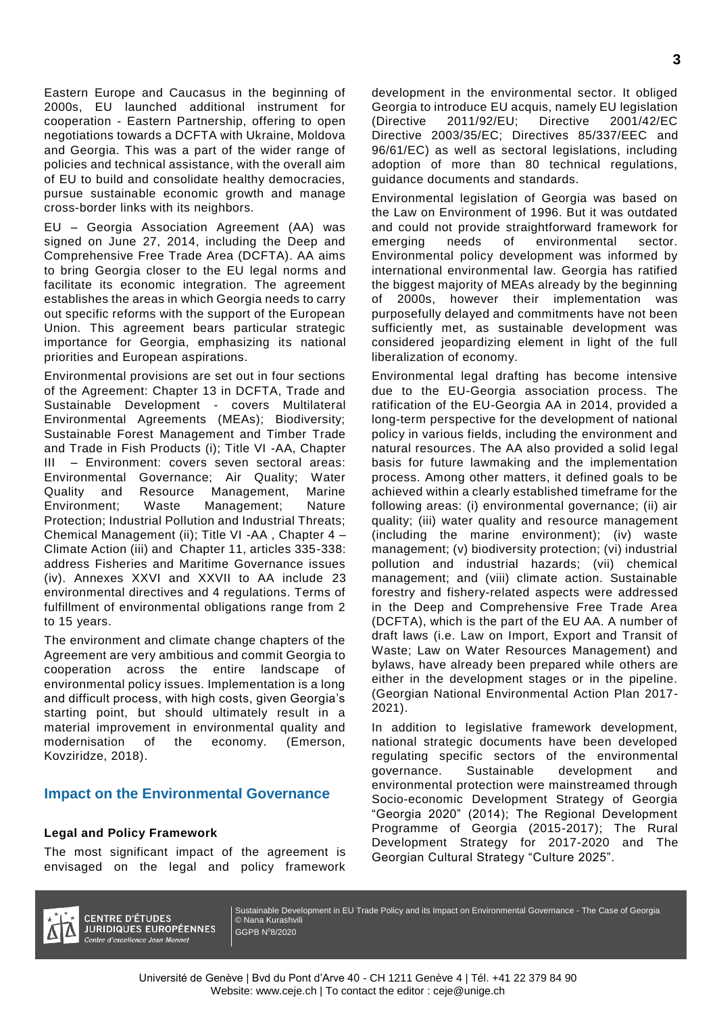Eastern Europe and Caucasus in the beginning of 2000s, EU launched additional instrument for cooperation - Eastern Partnership, offering to open negotiations towards a DCFTA with Ukraine, Moldova and Georgia. This was a part of the wider range of policies and technical assistance, with the overall aim of EU to build and consolidate healthy democracies, pursue sustainable economic growth and manage cross-border links with its neighbors.

EU – Georgia Association Agreement (AA) was signed on June 27, 2014, including the Deep and Comprehensive Free Trade Area (DCFTA). AA aims to bring Georgia closer to the EU legal norms and facilitate its economic integration. The agreement establishes the areas in which Georgia needs to carry out specific reforms with the support of the European Union. This agreement bears particular strategic importance for Georgia, emphasizing its national priorities and European aspirations.

Environmental provisions are set out in four sections of the Agreement: Chapter 13 in DCFTA, Trade and Sustainable Development - covers Multilateral Environmental Agreements (MEAs); Biodiversity; Sustainable Forest Management and Timber Trade and Trade in Fish Products (i); Title VI -AA, Chapter - Environment: covers seven sectoral areas: Environmental Governance; Air Quality; Water Quality and Resource Management, Marine Environment; Waste Management; Nature Protection; Industrial Pollution and Industrial Threats; Chemical Management (ii); Title VI -AA , Chapter 4 – Climate Action (iii) and Chapter 11, articles 335-338: address Fisheries and Maritime Governance issues (iv). Annexes XXVI and XXVII to AA include 23 environmental directives and 4 regulations. Terms of fulfillment of environmental obligations range from 2 to 15 years.

The environment and climate change chapters of the Agreement are very ambitious and commit Georgia to cooperation across the entire landscape of environmental policy issues. Implementation is a long and difficult process, with high costs, given Georgia's starting point, but should ultimately result in a material improvement in environmental quality and modernisation of the economy. (Emerson, Kovziridze, 2018).

## **Impact on the Environmental Governance**

#### **Legal and Policy Framework**

The most significant impact of the agreement is envisaged on the legal and policy framework

development in the environmental sector. It obliged Georgia to introduce EU acquis, namely EU legislation (Directive 2011/92/EU; Directive 2001/42/EC Directive 2003/35/EC; Directives 85/337/EEC and 96/61/EC) as well as sectoral legislations, including adoption of more than 80 technical regulations, guidance documents and standards.

Environmental legislation of Georgia was based on the Law on Environment of 1996. But it was outdated and could not provide straightforward framework for emerging needs of environmental sector. Environmental policy development was informed by international environmental law. Georgia has ratified the biggest majority of MEAs already by the beginning of 2000s, however their implementation was purposefully delayed and commitments have not been sufficiently met, as sustainable development was considered jeopardizing element in light of the full liberalization of economy.

Environmental legal drafting has become intensive due to the EU-Georgia association process. The ratification of the EU-Georgia AA in 2014, provided a long-term perspective for the development of national policy in various fields, including the environment and natural resources. The AA also provided a solid legal basis for future lawmaking and the implementation process. Among other matters, it defined goals to be achieved within a clearly established timeframe for the following areas: (i) environmental governance; (ii) air quality; (iii) water quality and resource management (including the marine environment); (iv) waste management; (v) biodiversity protection; (vi) industrial pollution and industrial hazards; (vii) chemical management; and (viii) climate action. Sustainable forestry and fishery-related aspects were addressed in the Deep and Comprehensive Free Trade Area (DCFTA), which is the part of the EU AA. A number of draft laws (i.e. Law on Import, Export and Transit of Waste; Law on Water Resources Management) and bylaws, have already been prepared while others are either in the development stages or in the pipeline. (Georgian National Environmental Action Plan 2017- 2021).

In addition to legislative framework development, national strategic documents have been developed regulating specific sectors of the environmental governance. Sustainable development and environmental protection were mainstreamed through Socio-economic Development Strategy of Georgia "Georgia 2020" (2014); The Regional Development Programme of Georgia (2015-2017); The Rural Development Strategy for 2017-2020 and The Georgian Cultural Strategy "Culture 2025".



**CENTRE D'ÉTUDES JURIDIQUES EUROPÉENNES** Centre d'excellence Jean Monnet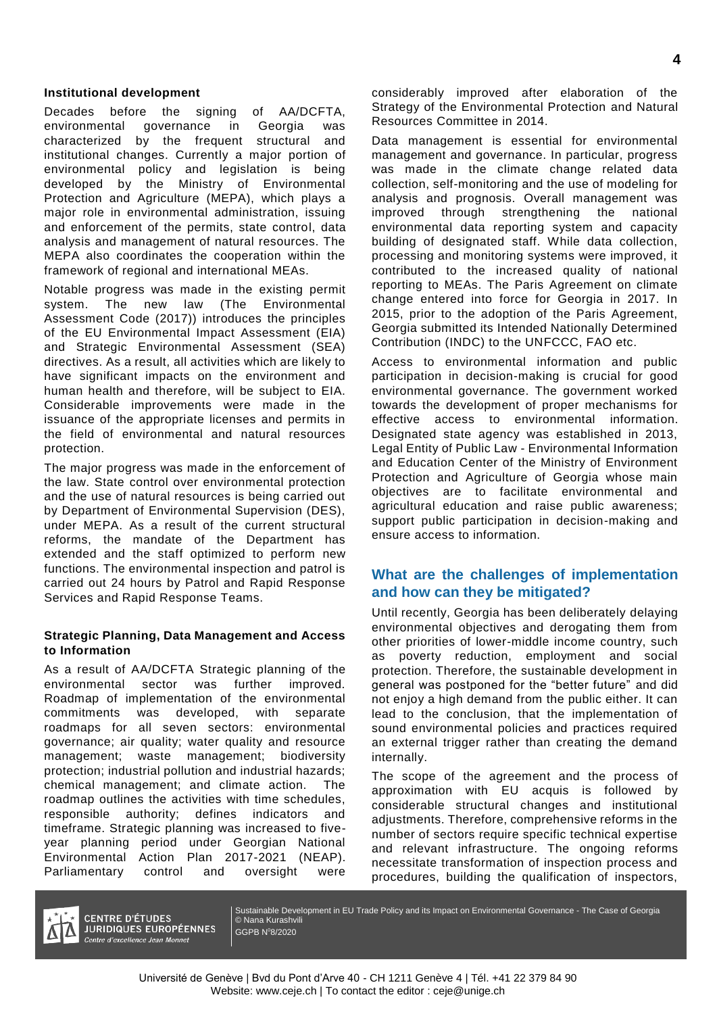#### **Institutional development**

Decades before the signing of AA/DCFTA, environmental governance in Georgia was characterized by the frequent structural and institutional changes. Currently a major portion of environmental policy and legislation is being developed by the Ministry of Environmental Protection and Agriculture (MEPA), which plays a major role in environmental administration, issuing and enforcement of the permits, state control, data analysis and management of natural resources. The MEPA also coordinates the cooperation within the framework of regional and international MEAs.

Notable progress was made in the existing permit system. The new law (The Environmental Assessment Code (2017)) introduces the principles of the EU Environmental Impact Assessment (EIA) and Strategic Environmental Assessment (SEA) directives. As a result, all activities which are likely to have significant impacts on the environment and human health and therefore, will be subject to EIA. Considerable improvements were made in the issuance of the appropriate licenses and permits in the field of environmental and natural resources protection.

The major progress was made in the enforcement of the law. State control over environmental protection and the use of natural resources is being carried out by Department of Environmental Supervision (DES), under MEPA. As a result of the current structural reforms, the mandate of the Department has extended and the staff optimized to perform new functions. The environmental inspection and patrol is carried out 24 hours by Patrol and Rapid Response Services and Rapid Response Teams.

#### **Strategic Planning, Data Management and Access to Information**

As a result of AA/DCFTA Strategic planning of the environmental sector was further improved. Roadmap of implementation of the environmental commitments was developed, with separate roadmaps for all seven sectors: environmental governance; air quality; water quality and resource management; waste management; biodiversity protection; industrial pollution and industrial hazards; chemical management; and climate action. The roadmap outlines the activities with time schedules, responsible authority; defines indicators and timeframe. Strategic planning was increased to fiveyear planning period under Georgian National Environmental Action Plan 2017-2021 (NEAP). Parliamentary control and oversight were

considerably improved after elaboration of the Strategy of the Environmental Protection and Natural Resources Committee in 2014.

Data management is essential for environmental management and governance. In particular, progress was made in the climate change related data collection, self-monitoring and the use of modeling for analysis and prognosis. Overall management was improved through strengthening the national environmental data reporting system and capacity building of designated staff. While data collection, processing and monitoring systems were improved, it contributed to the increased quality of national reporting to MEAs. The Paris Agreement on climate change entered into force for Georgia in 2017. In 2015, prior to the adoption of the Paris Agreement, Georgia submitted its Intended Nationally Determined Contribution (INDC) to the UNFCCC, FAO etc.

Access to environmental information and public participation in decision-making is crucial for good environmental governance. The government worked towards the development of proper mechanisms for effective access to environmental information. Designated state agency was established in 2013, Legal Entity of Public Law - Environmental Information and Education Center of the Ministry of Environment Protection and Agriculture of Georgia whose main objectives are to facilitate environmental and agricultural education and raise public awareness; support public participation in decision-making and ensure access to information.

# **What are the challenges of implementation and how can they be mitigated?**

Until recently, Georgia has been deliberately delaying environmental objectives and derogating them from other priorities of lower-middle income country, such as poverty reduction, employment and social protection. Therefore, the sustainable development in general was postponed for the "better future" and did not enjoy a high demand from the public either. It can lead to the conclusion, that the implementation of sound environmental policies and practices required an external trigger rather than creating the demand internally.

The scope of the agreement and the process of approximation with EU acquis is followed by considerable structural changes and institutional adjustments. Therefore, comprehensive reforms in the number of sectors require specific technical expertise and relevant infrastructure. The ongoing reforms necessitate transformation of inspection process and procedures, building the qualification of inspectors,



**CENTRE D'ÉTUDES JURIDIQUES EUROPÉENNES** Centre d'excellence Jean Monnet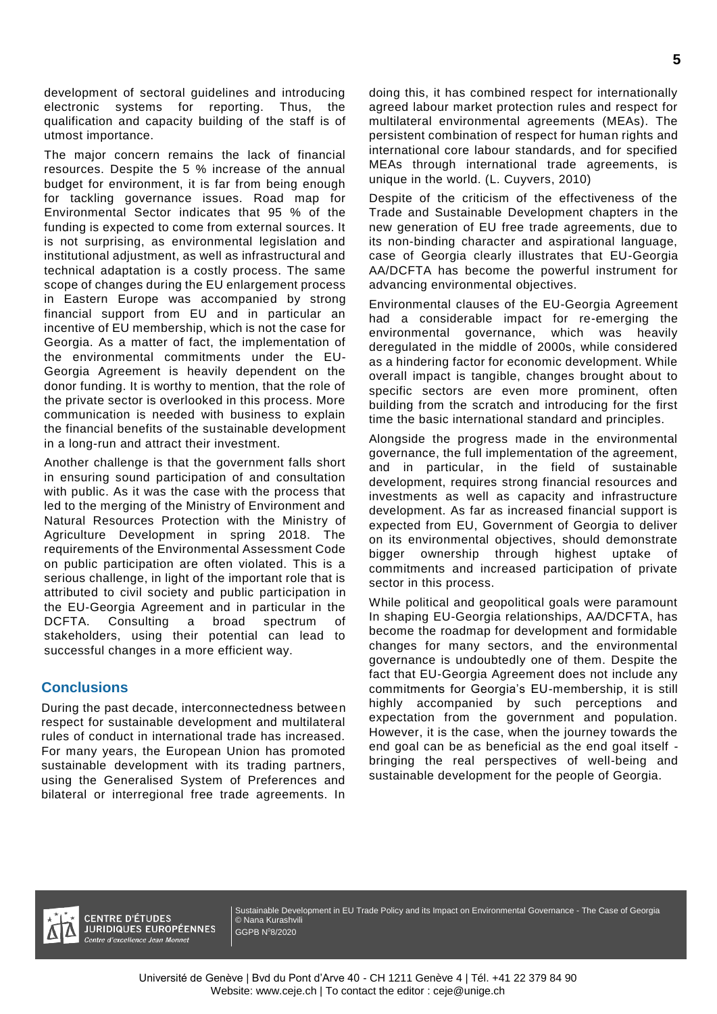development of sectoral guidelines and introducing electronic systems for reporting. Thus, the qualification and capacity building of the staff is of utmost importance.

The major concern remains the lack of financial resources. Despite the 5 % increase of the annual budget for environment, it is far from being enough for tackling governance issues. Road map for Environmental Sector indicates that 95 % of the funding is expected to come from external sources. It is not surprising, as environmental legislation and institutional adjustment, as well as infrastructural and technical adaptation is a costly process. The same scope of changes during the EU enlargement process in Eastern Europe was accompanied by strong financial support from EU and in particular an incentive of EU membership, which is not the case for Georgia. As a matter of fact, the implementation of the environmental commitments under the EU-Georgia Agreement is heavily dependent on the donor funding. It is worthy to mention, that the role of the private sector is overlooked in this process. More communication is needed with business to explain the financial benefits of the sustainable development in a long-run and attract their investment.

Another challenge is that the government falls short in ensuring sound participation of and consultation with public. As it was the case with the process that led to the merging of the Ministry of Environment and Natural Resources Protection with the Ministry of Agriculture Development in spring 2018. The requirements of the Environmental Assessment Code on public participation are often violated. This is a serious challenge, in light of the important role that is attributed to civil society and public participation in the EU-Georgia Agreement and in particular in the DCFTA. Consulting a broad spectrum of stakeholders, using their potential can lead to successful changes in a more efficient way.

## **Conclusions**

During the past decade, interconnectedness between respect for sustainable development and multilateral rules of conduct in international trade has increased. For many years, the European Union has promoted sustainable development with its trading partners, using the Generalised System of Preferences and bilateral or interregional free trade agreements. In

doing this, it has combined respect for internationally agreed labour market protection rules and respect for multilateral environmental agreements (MEAs). The persistent combination of respect for human rights and international core labour standards, and for specified MEAs through international trade agreements, is unique in the world. (L. Cuyvers, 2010)

Despite of the criticism of the effectiveness of the Trade and Sustainable Development chapters in the new generation of EU free trade agreements, due to its non-binding character and aspirational language, case of Georgia clearly illustrates that EU-Georgia AA/DCFTA has become the powerful instrument for advancing environmental objectives.

Environmental clauses of the EU-Georgia Agreement had a considerable impact for re-emerging the environmental governance, which was heavily deregulated in the middle of 2000s, while considered as a hindering factor for economic development. While overall impact is tangible, changes brought about to specific sectors are even more prominent, often building from the scratch and introducing for the first time the basic international standard and principles.

Alongside the progress made in the environmental governance, the full implementation of the agreement, and in particular, in the field of sustainable development, requires strong financial resources and investments as well as capacity and infrastructure development. As far as increased financial support is expected from EU, Government of Georgia to deliver on its environmental objectives, should demonstrate bigger ownership through highest uptake of commitments and increased participation of private sector in this process.

While political and geopolitical goals were paramount In shaping EU-Georgia relationships, AA/DCFTA, has become the roadmap for development and formidable changes for many sectors, and the environmental governance is undoubtedly one of them. Despite the fact that EU-Georgia Agreement does not include any commitments for Georgia's EU-membership, it is still highly accompanied by such perceptions and expectation from the government and population. However, it is the case, when the journey towards the end goal can be as beneficial as the end goal itself bringing the real perspectives of well-being and sustainable development for the people of Georgia.



**CENTRE D'ÉTUDES JURIDIQUES EUROPÉENNES** ntre d'excellence Jean Monnet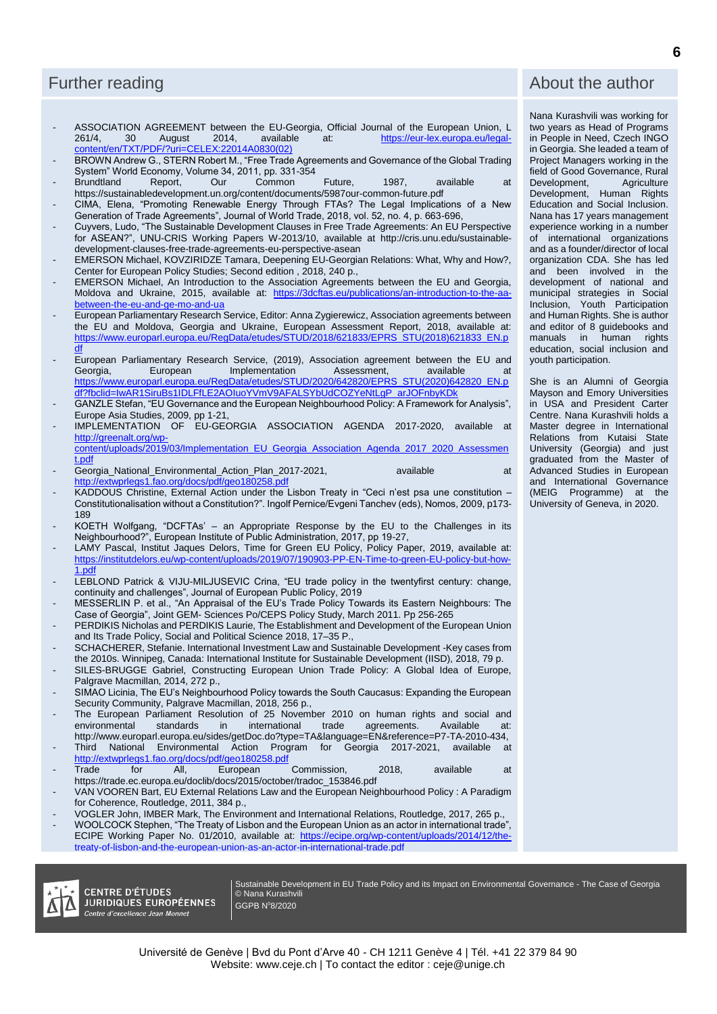# Further reading

- ASSOCIATION AGREEMENT between the EU-Georgia, Official Journal of the European Union, L<br>261/4, 30 August 2014, available at: https://eur-lex.europa.eu/legal[https://eur-lex.europa.eu/legal](https://eur-lex.europa.eu/legal-content/en/TXT/PDF/?uri=CELEX:22014A0830(02))[content/en/TXT/PDF/?uri=CELEX:22014A0830\(02\)](https://eur-lex.europa.eu/legal-content/en/TXT/PDF/?uri=CELEX:22014A0830(02))
- BROWN Andrew G., STERN Robert M., "Free Trade Agreements and Governance of the Global Trading System" World Economy, Volume 34, 2011, pp. 331-354
- Brundtland Report, Our Common Future, 1987, available at <https://sustainabledevelopment.un.org/content/documents/5987our-common-future.pdf>
- CIMA, Elena, "Promoting Renewable Energy Through FTAs? The Legal Implications of a New Generation of Trade Agreements", Journal of World Trade, 2018, vol. 52, no. 4, p. 663-696,
- Cuyvers, Ludo, "The Sustainable Development Clauses in Free Trade Agreements: An EU Perspective for ASEAN?", UNU-CRIS Working Papers W-2013/10, available at [http://cris.unu.edu/sustainable](http://cris.unu.edu/sustainable-development-clauses-free-trade-agreements-eu-perspective-asean)[development-clauses-free-trade-agreements-eu-perspective-asean](http://cris.unu.edu/sustainable-development-clauses-free-trade-agreements-eu-perspective-asean)
- EMERSON Michael, KOVZIRIDZE Tamara, Deepening EU-Georgian Relations: What, Why and How?, Center for European Policy Studies; Second edition , 2018, 240 p.,
- EMERSON Michael, An Introduction to the Association Agreements between the EU and Georgia, Moldova and Ukraine, 2015, available at: [https://3dcftas.eu/publications/an-introduction-to-the-aa](https://3dcftas.eu/publications/an-introduction-to-the-aa-between-the-eu-and-ge-mo-and-ua)[between-the-eu-and-ge-mo-and-ua](https://3dcftas.eu/publications/an-introduction-to-the-aa-between-the-eu-and-ge-mo-and-ua)
- European Parliamentary Research Service, Editor: Anna Zygierewicz, Association agreements between the EU and Moldova, Georgia and Ukraine, European Assessment Report, 2018, available at: [https://www.europarl.europa.eu/RegData/etudes/STUD/2018/621833/EPRS\\_STU\(2018\)621833\\_EN.p](https://www.europarl.europa.eu/RegData/etudes/STUD/2018/621833/EPRS_STU(2018)621833_EN.pdf) <u>[df](https://www.europarl.europa.eu/RegData/etudes/STUD/2018/621833/EPRS_STU(2018)621833_EN.pdf)</u>
- European Parliamentary Research Service, (2019), Association agreement between the EU and<br>Georgia, European Implementation Assessment, available at Georgia, European Implementation Assessment, available at [https://www.europarl.europa.eu/RegData/etudes/STUD/2020/642820/EPRS\\_STU\(2020\)642820\\_EN.p](https://www.europarl.europa.eu/RegData/etudes/STUD/2020/642820/EPRS_STU(2020)642820_EN.pdf?fbclid=IwAR1SiruBs1IDLFfLE2AOIuoYVmV9AFALSYbUdCOZYeNtLgP_arJOFnbyKDk) [df?fbclid=IwAR1SiruBs1IDLFfLE2AOIuoYVmV9AFALSYbUdCOZYeNtLgP\\_arJOFnbyKDk](https://www.europarl.europa.eu/RegData/etudes/STUD/2020/642820/EPRS_STU(2020)642820_EN.pdf?fbclid=IwAR1SiruBs1IDLFfLE2AOIuoYVmV9AFALSYbUdCOZYeNtLgP_arJOFnbyKDk)
- GANZLE Stefan, "EU Governance and the European Neighbourhood Policy: A Framework for Analysis", Europe Asia Studies, 2009, pp 1-21,
- IMPLEMENTATION OF EU-GEORGIA ASSOCIATION AGENDA 2017-2020, available at [http://greenalt.org/wp-](http://greenalt.org/wp-content/uploads/2019/03/Implementation_EU_Georgia_Association_Agenda_2017_2020_Assessment.pdf)

[content/uploads/2019/03/Implementation\\_EU\\_Georgia\\_Association\\_Agenda\\_2017\\_2020\\_Assessmen](http://greenalt.org/wp-content/uploads/2019/03/Implementation_EU_Georgia_Association_Agenda_2017_2020_Assessment.pdf) [t.pdf](http://greenalt.org/wp-content/uploads/2019/03/Implementation_EU_Georgia_Association_Agenda_2017_2020_Assessment.pdf)

- Georgia\_National\_Environmental\_Action\_Plan\_2017-2021, available at at <http://extwprlegs1.fao.org/docs/pdf/geo180258.pdf>
- KADDOUS Christine, External Action under the Lisbon Treaty in "Ceci n'est psa une constitution -Constitutionalisation without a Constitution?". Ingolf Pernice/Evgeni Tanchev (eds), Nomos, 2009, p173- 189
- KOETH Wolfgang, "DCFTAs' an Appropriate Response by the EU to the Challenges in its Neighbourhood?", European Institute of Public Administration, 2017, pp 19-27,
- LAMY Pascal, Institut Jaques Delors, Time for Green EU Policy, Policy Paper, 2019, available at: [https://institutdelors.eu/wp-content/uploads/2019/07/190903-PP-EN-Time-to-green-EU-policy-but-how-](https://institutdelors.eu/wp-content/uploads/2019/07/190903-PP-EN-Time-to-green-EU-policy-but-how-1.pdf)[1.pdf](https://institutdelors.eu/wp-content/uploads/2019/07/190903-PP-EN-Time-to-green-EU-policy-but-how-1.pdf)
- LEBLOND Patrick & VIJU-MILJUSEVIC Crina, "EU trade policy in the twentyfirst century: change, continuity and challenges", Journal of European Public Policy, 2019
- MESSERLIN P. et al., "An Appraisal of the EU's Trade Policy Towards its Eastern Neighbours: The Case of Georgia", Joint GEM- Sciences Po/CEPS Policy Study, March 2011. Pp 256-265
- PERDIKIS Nicholas and PERDIKIS Laurie, The Establishment and Development of the European Union and Its Trade Policy, Social and Political Science 2018, 17–35 P.,
- SCHACHERER, Stefanie. International Investment Law and Sustainable Development -Key cases from the 2010s. Winnipeg, Canada: International Institute for Sustainable Development (IISD), 2018, 79 p.
- SILES-BRUGGE Gabriel, Constructing European Union Trade Policy: A Global Idea of Europe, Palgrave Macmillan, 2014, 272 p.,
- SIMAO Licinia, The EU's Neighbourhood Policy towards the South Caucasus: Expanding the European Security Community, Palgrave Macmillan, 2018, 256 p.,
- The European Parliament Resolution of 25 November 2010 on human rights and social and environmental standards in international trade agreements. Available at: http://www.europarl.europa.eu/sides/getDoc.do?type=TA&language=EN&reference=P7-TA-2010-434,
- Third National Environmental Action Program for Georgia 2017-2021, available at <http://extwprlegs1.fao.org/docs/pdf/geo180258.pdf><br>Trade for All, European
- for All, European Commission, 2018, available at https://trade.ec.europa.eu/doclib/docs/2015/october/tradoc\_153846.pdf
- VAN VOOREN Bart, EU External Relations Law and the European Neighbourhood Policy : A Paradigm for Coherence, Routledge, 2011, 384 p.,
- VOGLER John, IMBER Mark, The Environment and International Relations, Routledge, 2017, 265 p.,
- WOOLCOCK Stephen, "The Treaty of Lisbon and the European Union as an actor in international trade", ECIPE Working Paper No. 01/2010, available at: [https://ecipe.org/wp-content/uploads/2014/12/the](https://ecipe.org/wp-content/uploads/2014/12/the-treaty-of-lisbon-and-the-european-union-as-an-actor-in-international-trade.pdf)[treaty-of-lisbon-and-the-european-union-as-an-actor-in-international-trade.pdf](https://ecipe.org/wp-content/uploads/2014/12/the-treaty-of-lisbon-and-the-european-union-as-an-actor-in-international-trade.pdf)



Sustainable Development in EU Trade Policy and its Impact on Environmental Governance - The Case of Georgia © Nana Kurashvili GGPB N<sup>0</sup>8/2020

# About the author

Nana Kurashvili was working for two years as Head of Programs in People in Need, Czech INGO in Georgia. She leaded a team of Project Managers working in the field of Good Governance, Rural<br>Development, Agriculture Development, Development, Human Rights Education and Social Inclusion. Nana has 17 years management experience working in a number of international organizations and as a founder/director of local organization CDA. She has led and been involved in the development of national and municipal strategies in Social Inclusion, Youth Participation and Human Rights. She is author and editor of 8 guidebooks and manuals in human rights education, social inclusion and youth participation.

She is an Alumni of Georgia Mayson and Emory Universities in USA and President Carter Centre. Nana Kurashvili holds a Master degree in International Relations from Kutaisi State University (Georgia) and just graduated from the Master of Advanced Studies in European and International Governance (MEIG Programme) at the University of Geneva, in 2020.